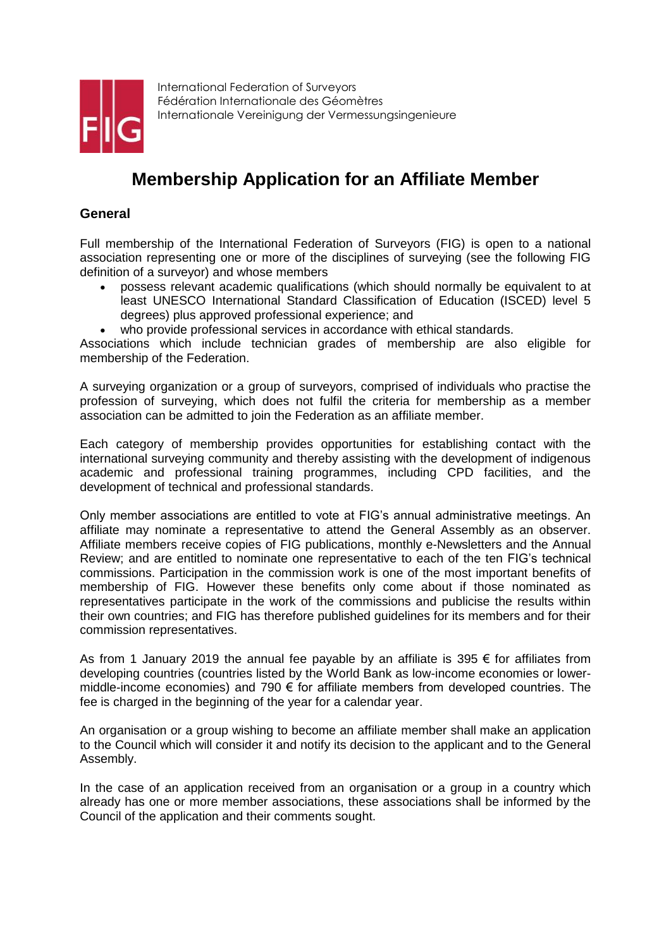

International Federation of Surveyors Fédération Internationale des Géomètres Internationale Vereinigung der Vermessungsingenieure

# **Membership Application for an Affiliate Member**

#### **General**

Full membership of the International Federation of Surveyors (FIG) is open to a national association representing one or more of the disciplines of surveying (see the following FIG definition of a surveyor) and whose members

- possess relevant academic qualifications (which should normally be equivalent to at least UNESCO International Standard Classification of Education (ISCED) level 5 degrees) plus approved professional experience; and
- who provide professional services in accordance with ethical standards.

Associations which include technician grades of membership are also eligible for membership of the Federation.

A surveying organization or a group of surveyors, comprised of individuals who practise the profession of surveying, which does not fulfil the criteria for membership as a member association can be admitted to join the Federation as an affiliate member.

Each category of membership provides opportunities for establishing contact with the international surveying community and thereby assisting with the development of indigenous academic and professional training programmes, including CPD facilities, and the development of technical and professional standards.

Only member associations are entitled to vote at FIG's annual administrative meetings. An affiliate may nominate a representative to attend the General Assembly as an observer. Affiliate members receive copies of FIG publications, monthly e-Newsletters and the Annual Review; and are entitled to nominate one representative to each of the ten FIG's technical commissions. Participation in the commission work is one of the most important benefits of membership of FIG. However these benefits only come about if those nominated as representatives participate in the work of the commissions and publicise the results within their own countries; and FIG has therefore published guidelines for its members and for their commission representatives.

As from 1 January 2019 the annual fee payable by an affiliate is 395  $\epsilon$  for affiliates from developing countries (countries listed by the World Bank as low-income economies or lowermiddle-income economies) and 790  $\epsilon$  for affiliate members from developed countries. The fee is charged in the beginning of the year for a calendar year.

An organisation or a group wishing to become an affiliate member shall make an application to the Council which will consider it and notify its decision to the applicant and to the General Assembly.

In the case of an application received from an organisation or a group in a country which already has one or more member associations, these associations shall be informed by the Council of the application and their comments sought.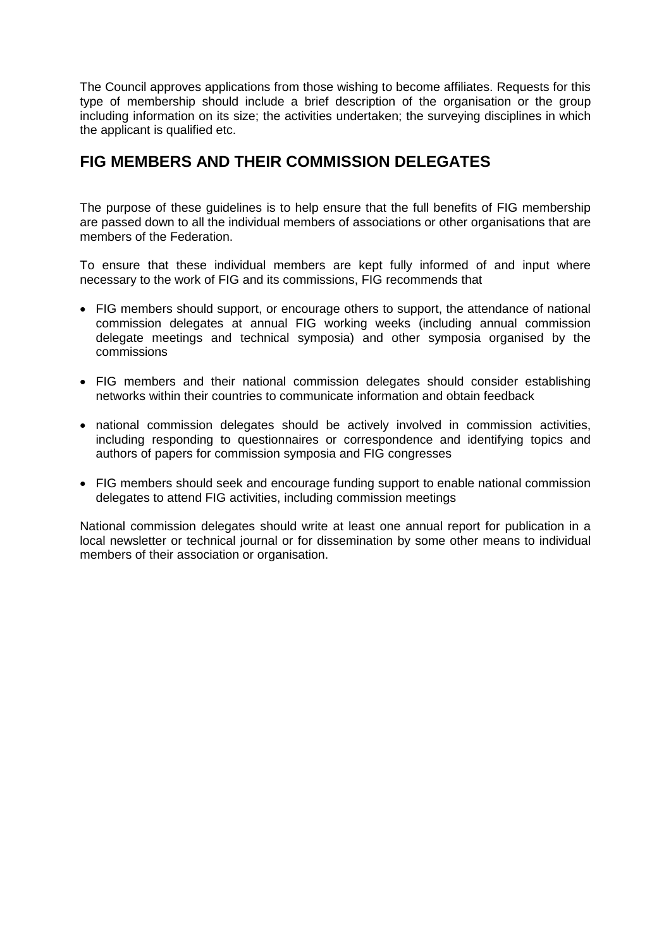The Council approves applications from those wishing to become affiliates. Requests for this type of membership should include a brief description of the organisation or the group including information on its size; the activities undertaken; the surveying disciplines in which the applicant is qualified etc.

## **FIG MEMBERS AND THEIR COMMISSION DELEGATES**

The purpose of these guidelines is to help ensure that the full benefits of FIG membership are passed down to all the individual members of associations or other organisations that are members of the Federation.

To ensure that these individual members are kept fully informed of and input where necessary to the work of FIG and its commissions, FIG recommends that

- FIG members should support, or encourage others to support, the attendance of national commission delegates at annual FIG working weeks (including annual commission delegate meetings and technical symposia) and other symposia organised by the commissions
- FIG members and their national commission delegates should consider establishing networks within their countries to communicate information and obtain feedback
- national commission delegates should be actively involved in commission activities, including responding to questionnaires or correspondence and identifying topics and authors of papers for commission symposia and FIG congresses
- FIG members should seek and encourage funding support to enable national commission delegates to attend FIG activities, including commission meetings

National commission delegates should write at least one annual report for publication in a local newsletter or technical journal or for dissemination by some other means to individual members of their association or organisation.